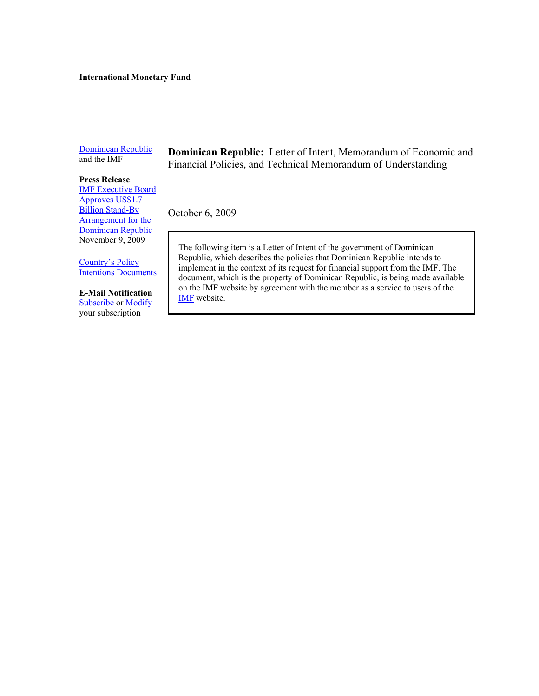#### **International Monetary Fund**

[Dominican Republic](http://www.imf.org/external/country/DOM/index.htm) and the IMF

# **Press Release**[: IMF Executive Board](http://www.imf.org/external/np/sec/pr/2009/pr09393.htm)

Approves US\$1.7 **Billion Stand-By** Arrangement for the Dominican Republic November 9, 2009

Country's Policy [Intentions Documents](http://www.imf.org/external/np/cpid/default.aspx) 

#### **E-Mail Notification [Subscribe](https://www.imf.org/external/cntpst/index.aspx) o[r Modify](https://www.imf.org/external/cntpst/signinmodify.aspx)**

your subscription

**Dominican Republic:** Letter of Intent, Memorandum of Economic and Financial Policies, and Technical Memorandum of Understanding

October 6, 2009

The following item is a Letter of Intent of the government of Dominican Republic, which describes the policies that Dominican Republic intends to implement in the context of its request for financial support from the IMF. The document, which is the property of Dominican Republic, is being made available on the IMF website by agreement with the member as a service to users of the [IMF website.](http://www.imf.org/external/)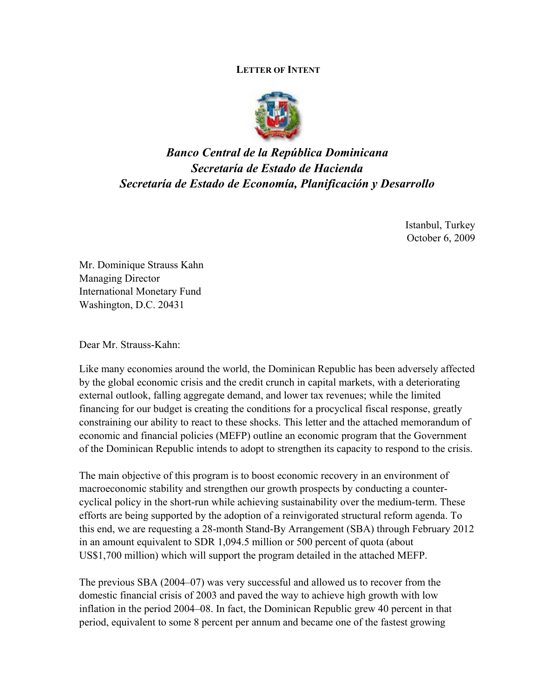#### **LETTER OF INTENT**



# *Banco Central de la República Dominicana Secretaría de Estado de Hacienda Secretaría de Estado de Economía, Planificación y Desarrollo*

Istanbul, Turkey October 6, 2009

Mr. Dominique Strauss Kahn Managing Director International Monetary Fund Washington, D.C. 20431

Dear Mr. Strauss-Kahn:

Like many economies around the world, the Dominican Republic has been adversely affected by the global economic crisis and the credit crunch in capital markets, with a deteriorating external outlook, falling aggregate demand, and lower tax revenues; while the limited financing for our budget is creating the conditions for a procyclical fiscal response, greatly constraining our ability to react to these shocks. This letter and the attached memorandum of economic and financial policies (MEFP) outline an economic program that the Government of the Dominican Republic intends to adopt to strengthen its capacity to respond to the crisis.

The main objective of this program is to boost economic recovery in an environment of macroeconomic stability and strengthen our growth prospects by conducting a countercyclical policy in the short-run while achieving sustainability over the medium-term. These efforts are being supported by the adoption of a reinvigorated structural reform agenda. To this end, we are requesting a 28-month Stand-By Arrangement (SBA) through February 2012 in an amount equivalent to SDR 1,094.5 million or 500 percent of quota (about US\$1,700 million) which will support the program detailed in the attached MEFP.

The previous SBA (2004–07) was very successful and allowed us to recover from the domestic financial crisis of 2003 and paved the way to achieve high growth with low inflation in the period 2004–08. In fact, the Dominican Republic grew 40 percent in that period, equivalent to some 8 percent per annum and became one of the fastest growing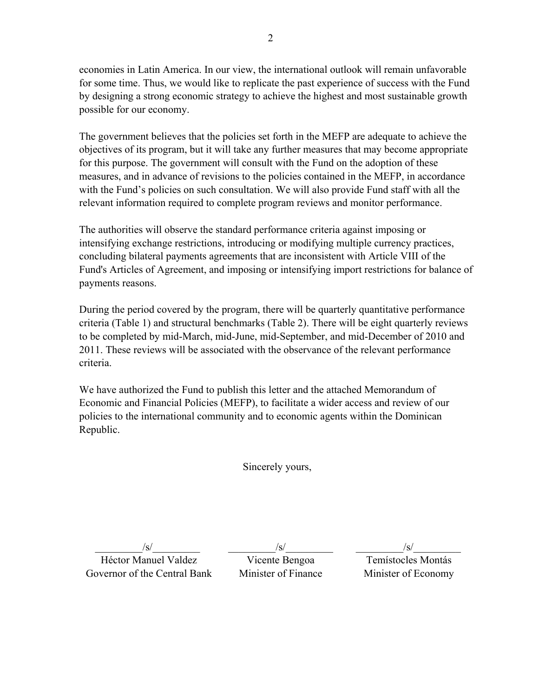economies in Latin America. In our view, the international outlook will remain unfavorable for some time. Thus, we would like to replicate the past experience of success with the Fund by designing a strong economic strategy to achieve the highest and most sustainable growth possible for our economy.

The government believes that the policies set forth in the MEFP are adequate to achieve the objectives of its program, but it will take any further measures that may become appropriate for this purpose. The government will consult with the Fund on the adoption of these measures, and in advance of revisions to the policies contained in the MEFP, in accordance with the Fund's policies on such consultation. We will also provide Fund staff with all the relevant information required to complete program reviews and monitor performance.

The authorities will observe the standard performance criteria against imposing or intensifying exchange restrictions, introducing or modifying multiple currency practices, concluding bilateral payments agreements that are inconsistent with Article VIII of the Fund's Articles of Agreement, and imposing or intensifying import restrictions for balance of payments reasons.

During the period covered by the program, there will be quarterly quantitative performance criteria (Table 1) and structural benchmarks (Table 2). There will be eight quarterly reviews to be completed by mid-March, mid-June, mid-September, and mid-December of 2010 and 2011. These reviews will be associated with the observance of the relevant performance criteria.

We have authorized the Fund to publish this letter and the attached Memorandum of Economic and Financial Policies (MEFP), to facilitate a wider access and review of our policies to the international community and to economic agents within the Dominican Republic.

Sincerely yours,

 $/s/$ 

 $/s/$ 

 $/s/$ 

Héctor Manuel Valdez Governor of the Central Bank

Vicente Bengoa Minister of Finance

Temístocles Montás Minister of Economy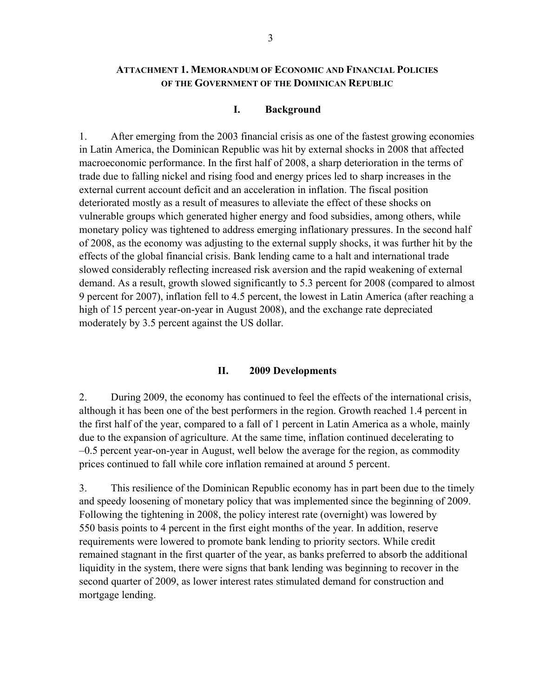### **ATTACHMENT 1. MEMORANDUM OF ECONOMIC AND FINANCIAL POLICIES OF THE GOVERNMENT OF THE DOMINICAN REPUBLIC**

#### **I. Background**

1. After emerging from the 2003 financial crisis as one of the fastest growing economies in Latin America, the Dominican Republic was hit by external shocks in 2008 that affected macroeconomic performance. In the first half of 2008, a sharp deterioration in the terms of trade due to falling nickel and rising food and energy prices led to sharp increases in the external current account deficit and an acceleration in inflation. The fiscal position deteriorated mostly as a result of measures to alleviate the effect of these shocks on vulnerable groups which generated higher energy and food subsidies, among others, while monetary policy was tightened to address emerging inflationary pressures. In the second half of 2008, as the economy was adjusting to the external supply shocks, it was further hit by the effects of the global financial crisis. Bank lending came to a halt and international trade slowed considerably reflecting increased risk aversion and the rapid weakening of external demand. As a result, growth slowed significantly to 5.3 percent for 2008 (compared to almost 9 percent for 2007), inflation fell to 4.5 percent, the lowest in Latin America (after reaching a high of 15 percent year-on-year in August 2008), and the exchange rate depreciated moderately by 3.5 percent against the US dollar.

#### **II. 2009 Developments**

2. During 2009, the economy has continued to feel the effects of the international crisis, although it has been one of the best performers in the region. Growth reached 1.4 percent in the first half of the year, compared to a fall of 1 percent in Latin America as a whole, mainly due to the expansion of agriculture. At the same time, inflation continued decelerating to –0.5 percent year-on-year in August, well below the average for the region, as commodity prices continued to fall while core inflation remained at around 5 percent.

3. This resilience of the Dominican Republic economy has in part been due to the timely and speedy loosening of monetary policy that was implemented since the beginning of 2009. Following the tightening in 2008, the policy interest rate (overnight) was lowered by 550 basis points to 4 percent in the first eight months of the year. In addition, reserve requirements were lowered to promote bank lending to priority sectors. While credit remained stagnant in the first quarter of the year, as banks preferred to absorb the additional liquidity in the system, there were signs that bank lending was beginning to recover in the second quarter of 2009, as lower interest rates stimulated demand for construction and mortgage lending.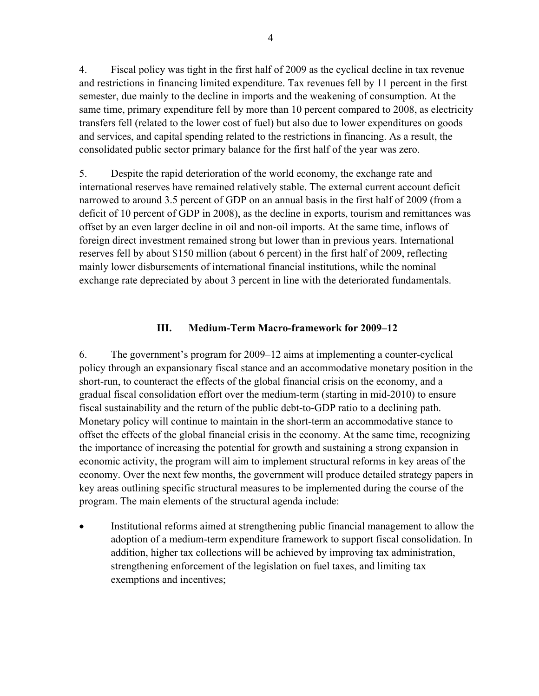4. Fiscal policy was tight in the first half of 2009 as the cyclical decline in tax revenue and restrictions in financing limited expenditure. Tax revenues fell by 11 percent in the first semester, due mainly to the decline in imports and the weakening of consumption. At the same time, primary expenditure fell by more than 10 percent compared to 2008, as electricity transfers fell (related to the lower cost of fuel) but also due to lower expenditures on goods and services, and capital spending related to the restrictions in financing. As a result, the consolidated public sector primary balance for the first half of the year was zero.

5. Despite the rapid deterioration of the world economy, the exchange rate and international reserves have remained relatively stable. The external current account deficit narrowed to around 3.5 percent of GDP on an annual basis in the first half of 2009 (from a deficit of 10 percent of GDP in 2008), as the decline in exports, tourism and remittances was offset by an even larger decline in oil and non-oil imports. At the same time, inflows of foreign direct investment remained strong but lower than in previous years. International reserves fell by about \$150 million (about 6 percent) in the first half of 2009, reflecting mainly lower disbursements of international financial institutions, while the nominal exchange rate depreciated by about 3 percent in line with the deteriorated fundamentals.

# **III. Medium-Term Macro-framework for 2009–12**

6. The government's program for 2009–12 aims at implementing a counter-cyclical policy through an expansionary fiscal stance and an accommodative monetary position in the short-run, to counteract the effects of the global financial crisis on the economy, and a gradual fiscal consolidation effort over the medium-term (starting in mid-2010) to ensure fiscal sustainability and the return of the public debt-to-GDP ratio to a declining path. Monetary policy will continue to maintain in the short-term an accommodative stance to offset the effects of the global financial crisis in the economy. At the same time, recognizing the importance of increasing the potential for growth and sustaining a strong expansion in economic activity, the program will aim to implement structural reforms in key areas of the economy. Over the next few months, the government will produce detailed strategy papers in key areas outlining specific structural measures to be implemented during the course of the program. The main elements of the structural agenda include:

 Institutional reforms aimed at strengthening public financial management to allow the adoption of a medium-term expenditure framework to support fiscal consolidation. In addition, higher tax collections will be achieved by improving tax administration, strengthening enforcement of the legislation on fuel taxes, and limiting tax exemptions and incentives;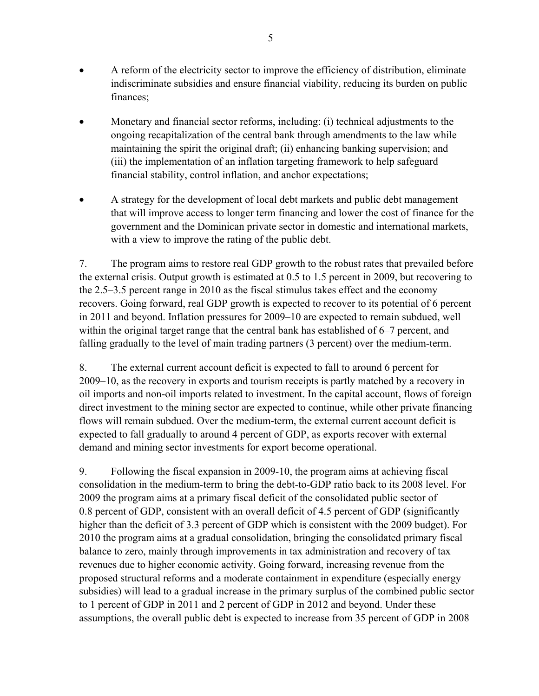- A reform of the electricity sector to improve the efficiency of distribution, eliminate indiscriminate subsidies and ensure financial viability, reducing its burden on public finances;
- Monetary and financial sector reforms, including: (i) technical adjustments to the ongoing recapitalization of the central bank through amendments to the law while maintaining the spirit the original draft; (ii) enhancing banking supervision; and (iii) the implementation of an inflation targeting framework to help safeguard financial stability, control inflation, and anchor expectations;
- A strategy for the development of local debt markets and public debt management that will improve access to longer term financing and lower the cost of finance for the government and the Dominican private sector in domestic and international markets, with a view to improve the rating of the public debt.

7. The program aims to restore real GDP growth to the robust rates that prevailed before the external crisis. Output growth is estimated at 0.5 to 1.5 percent in 2009, but recovering to the 2.5–3.5 percent range in 2010 as the fiscal stimulus takes effect and the economy recovers. Going forward, real GDP growth is expected to recover to its potential of 6 percent in 2011 and beyond. Inflation pressures for 2009–10 are expected to remain subdued, well within the original target range that the central bank has established of 6–7 percent, and falling gradually to the level of main trading partners (3 percent) over the medium-term.

8. The external current account deficit is expected to fall to around 6 percent for 2009–10, as the recovery in exports and tourism receipts is partly matched by a recovery in oil imports and non-oil imports related to investment. In the capital account, flows of foreign direct investment to the mining sector are expected to continue, while other private financing flows will remain subdued. Over the medium-term, the external current account deficit is expected to fall gradually to around 4 percent of GDP, as exports recover with external demand and mining sector investments for export become operational.

9. Following the fiscal expansion in 2009-10, the program aims at achieving fiscal consolidation in the medium-term to bring the debt-to-GDP ratio back to its 2008 level. For 2009 the program aims at a primary fiscal deficit of the consolidated public sector of 0.8 percent of GDP, consistent with an overall deficit of 4.5 percent of GDP (significantly higher than the deficit of 3.3 percent of GDP which is consistent with the 2009 budget). For 2010 the program aims at a gradual consolidation, bringing the consolidated primary fiscal balance to zero, mainly through improvements in tax administration and recovery of tax revenues due to higher economic activity. Going forward, increasing revenue from the proposed structural reforms and a moderate containment in expenditure (especially energy subsidies) will lead to a gradual increase in the primary surplus of the combined public sector to 1 percent of GDP in 2011 and 2 percent of GDP in 2012 and beyond. Under these assumptions, the overall public debt is expected to increase from 35 percent of GDP in 2008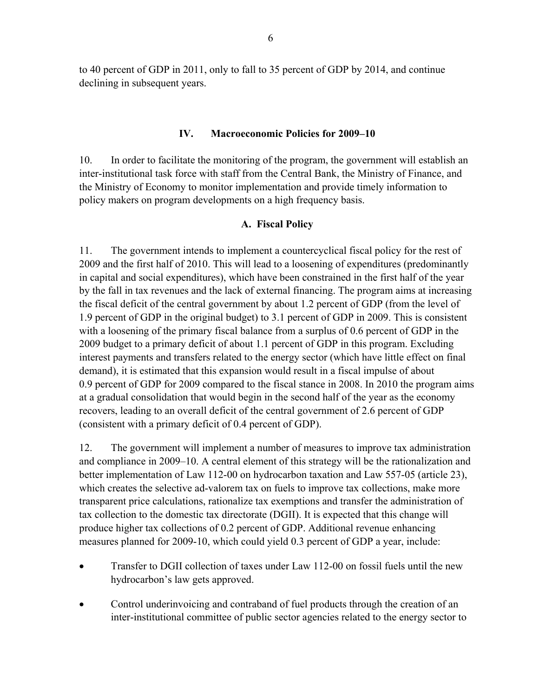to 40 percent of GDP in 2011, only to fall to 35 percent of GDP by 2014, and continue declining in subsequent years.

## **IV. Macroeconomic Policies for 2009–10**

10. In order to facilitate the monitoring of the program, the government will establish an inter-institutional task force with staff from the Central Bank, the Ministry of Finance, and the Ministry of Economy to monitor implementation and provide timely information to policy makers on program developments on a high frequency basis.

### **A. Fiscal Policy**

11. The government intends to implement a countercyclical fiscal policy for the rest of 2009 and the first half of 2010. This will lead to a loosening of expenditures (predominantly in capital and social expenditures), which have been constrained in the first half of the year by the fall in tax revenues and the lack of external financing. The program aims at increasing the fiscal deficit of the central government by about 1.2 percent of GDP (from the level of 1.9 percent of GDP in the original budget) to 3.1 percent of GDP in 2009. This is consistent with a loosening of the primary fiscal balance from a surplus of 0.6 percent of GDP in the 2009 budget to a primary deficit of about 1.1 percent of GDP in this program. Excluding interest payments and transfers related to the energy sector (which have little effect on final demand), it is estimated that this expansion would result in a fiscal impulse of about 0.9 percent of GDP for 2009 compared to the fiscal stance in 2008. In 2010 the program aims at a gradual consolidation that would begin in the second half of the year as the economy recovers, leading to an overall deficit of the central government of 2.6 percent of GDP (consistent with a primary deficit of 0.4 percent of GDP).

12. The government will implement a number of measures to improve tax administration and compliance in 2009–10. A central element of this strategy will be the rationalization and better implementation of Law 112-00 on hydrocarbon taxation and Law 557-05 (article 23), which creates the selective ad-valorem tax on fuels to improve tax collections, make more transparent price calculations, rationalize tax exemptions and transfer the administration of tax collection to the domestic tax directorate (DGII). It is expected that this change will produce higher tax collections of 0.2 percent of GDP. Additional revenue enhancing measures planned for 2009-10, which could yield 0.3 percent of GDP a year, include:

- Transfer to DGII collection of taxes under Law 112-00 on fossil fuels until the new hydrocarbon's law gets approved.
- Control underinvoicing and contraband of fuel products through the creation of an inter-institutional committee of public sector agencies related to the energy sector to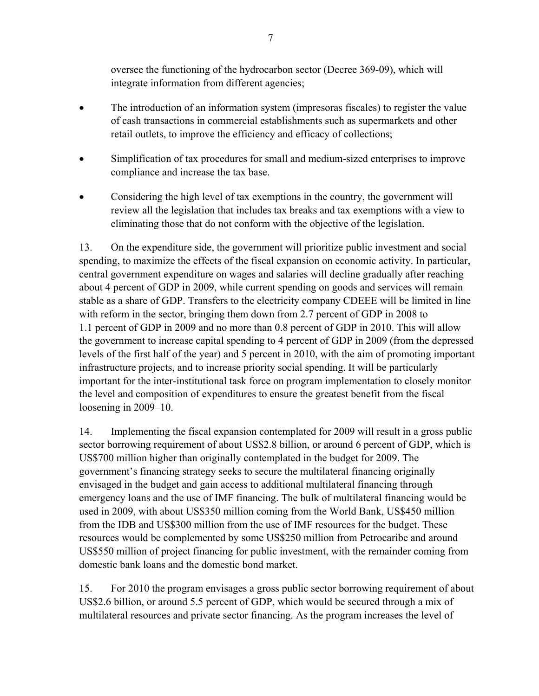oversee the functioning of the hydrocarbon sector (Decree 369-09), which will integrate information from different agencies;

- The introduction of an information system (impresoras fiscales) to register the value of cash transactions in commercial establishments such as supermarkets and other retail outlets, to improve the efficiency and efficacy of collections;
- Simplification of tax procedures for small and medium-sized enterprises to improve compliance and increase the tax base.
- Considering the high level of tax exemptions in the country, the government will review all the legislation that includes tax breaks and tax exemptions with a view to eliminating those that do not conform with the objective of the legislation.

13. On the expenditure side, the government will prioritize public investment and social spending, to maximize the effects of the fiscal expansion on economic activity. In particular, central government expenditure on wages and salaries will decline gradually after reaching about 4 percent of GDP in 2009, while current spending on goods and services will remain stable as a share of GDP. Transfers to the electricity company CDEEE will be limited in line with reform in the sector, bringing them down from 2.7 percent of GDP in 2008 to 1.1 percent of GDP in 2009 and no more than 0.8 percent of GDP in 2010. This will allow the government to increase capital spending to 4 percent of GDP in 2009 (from the depressed levels of the first half of the year) and 5 percent in 2010, with the aim of promoting important infrastructure projects, and to increase priority social spending. It will be particularly important for the inter-institutional task force on program implementation to closely monitor the level and composition of expenditures to ensure the greatest benefit from the fiscal loosening in 2009–10.

14. Implementing the fiscal expansion contemplated for 2009 will result in a gross public sector borrowing requirement of about US\$2.8 billion, or around 6 percent of GDP, which is US\$700 million higher than originally contemplated in the budget for 2009. The government's financing strategy seeks to secure the multilateral financing originally envisaged in the budget and gain access to additional multilateral financing through emergency loans and the use of IMF financing. The bulk of multilateral financing would be used in 2009, with about US\$350 million coming from the World Bank, US\$450 million from the IDB and US\$300 million from the use of IMF resources for the budget. These resources would be complemented by some US\$250 million from Petrocaribe and around US\$550 million of project financing for public investment, with the remainder coming from domestic bank loans and the domestic bond market.

15. For 2010 the program envisages a gross public sector borrowing requirement of about US\$2.6 billion, or around 5.5 percent of GDP, which would be secured through a mix of multilateral resources and private sector financing. As the program increases the level of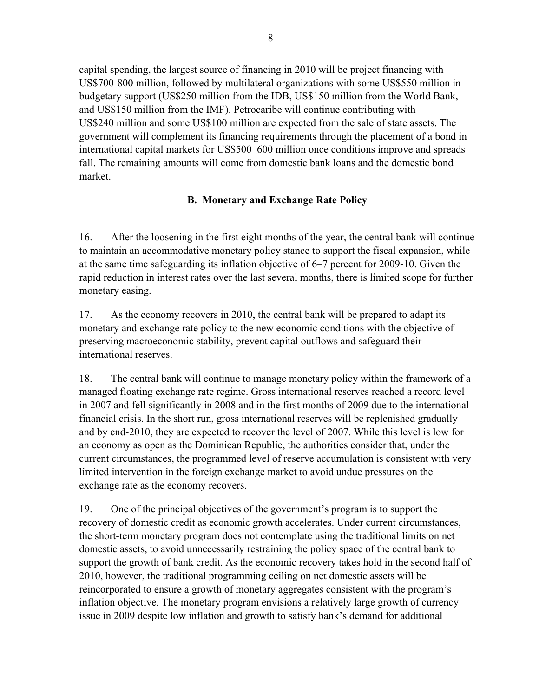capital spending, the largest source of financing in 2010 will be project financing with US\$700-800 million, followed by multilateral organizations with some US\$550 million in budgetary support (US\$250 million from the IDB, US\$150 million from the World Bank, and US\$150 million from the IMF). Petrocaribe will continue contributing with US\$240 million and some US\$100 million are expected from the sale of state assets. The government will complement its financing requirements through the placement of a bond in international capital markets for US\$500–600 million once conditions improve and spreads fall. The remaining amounts will come from domestic bank loans and the domestic bond market.

# **B. Monetary and Exchange Rate Policy**

16. After the loosening in the first eight months of the year, the central bank will continue to maintain an accommodative monetary policy stance to support the fiscal expansion, while at the same time safeguarding its inflation objective of 6–7 percent for 2009-10. Given the rapid reduction in interest rates over the last several months, there is limited scope for further monetary easing.

17. As the economy recovers in 2010, the central bank will be prepared to adapt its monetary and exchange rate policy to the new economic conditions with the objective of preserving macroeconomic stability, prevent capital outflows and safeguard their international reserves.

18. The central bank will continue to manage monetary policy within the framework of a managed floating exchange rate regime. Gross international reserves reached a record level in 2007 and fell significantly in 2008 and in the first months of 2009 due to the international financial crisis. In the short run, gross international reserves will be replenished gradually and by end-2010, they are expected to recover the level of 2007. While this level is low for an economy as open as the Dominican Republic, the authorities consider that, under the current circumstances, the programmed level of reserve accumulation is consistent with very limited intervention in the foreign exchange market to avoid undue pressures on the exchange rate as the economy recovers.

19. One of the principal objectives of the government's program is to support the recovery of domestic credit as economic growth accelerates. Under current circumstances, the short-term monetary program does not contemplate using the traditional limits on net domestic assets, to avoid unnecessarily restraining the policy space of the central bank to support the growth of bank credit. As the economic recovery takes hold in the second half of 2010, however, the traditional programming ceiling on net domestic assets will be reincorporated to ensure a growth of monetary aggregates consistent with the program's inflation objective. The monetary program envisions a relatively large growth of currency issue in 2009 despite low inflation and growth to satisfy bank's demand for additional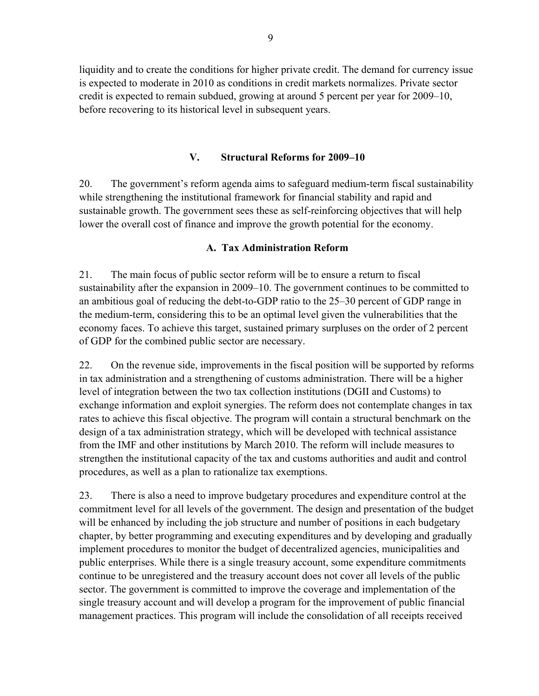liquidity and to create the conditions for higher private credit. The demand for currency issue is expected to moderate in 2010 as conditions in credit markets normalizes. Private sector credit is expected to remain subdued, growing at around 5 percent per year for 2009–10, before recovering to its historical level in subsequent years.

# **V. Structural Reforms for 2009–10**

20. The government's reform agenda aims to safeguard medium-term fiscal sustainability while strengthening the institutional framework for financial stability and rapid and sustainable growth. The government sees these as self-reinforcing objectives that will help lower the overall cost of finance and improve the growth potential for the economy.

# **A. Tax Administration Reform**

21. The main focus of public sector reform will be to ensure a return to fiscal sustainability after the expansion in 2009–10. The government continues to be committed to an ambitious goal of reducing the debt-to-GDP ratio to the 25–30 percent of GDP range in the medium-term, considering this to be an optimal level given the vulnerabilities that the economy faces. To achieve this target, sustained primary surpluses on the order of 2 percent of GDP for the combined public sector are necessary.

22. On the revenue side, improvements in the fiscal position will be supported by reforms in tax administration and a strengthening of customs administration. There will be a higher level of integration between the two tax collection institutions (DGII and Customs) to exchange information and exploit synergies. The reform does not contemplate changes in tax rates to achieve this fiscal objective. The program will contain a structural benchmark on the design of a tax administration strategy, which will be developed with technical assistance from the IMF and other institutions by March 2010. The reform will include measures to strengthen the institutional capacity of the tax and customs authorities and audit and control procedures, as well as a plan to rationalize tax exemptions.

23. There is also a need to improve budgetary procedures and expenditure control at the commitment level for all levels of the government. The design and presentation of the budget will be enhanced by including the job structure and number of positions in each budgetary chapter, by better programming and executing expenditures and by developing and gradually implement procedures to monitor the budget of decentralized agencies, municipalities and public enterprises. While there is a single treasury account, some expenditure commitments continue to be unregistered and the treasury account does not cover all levels of the public sector. The government is committed to improve the coverage and implementation of the single treasury account and will develop a program for the improvement of public financial management practices. This program will include the consolidation of all receipts received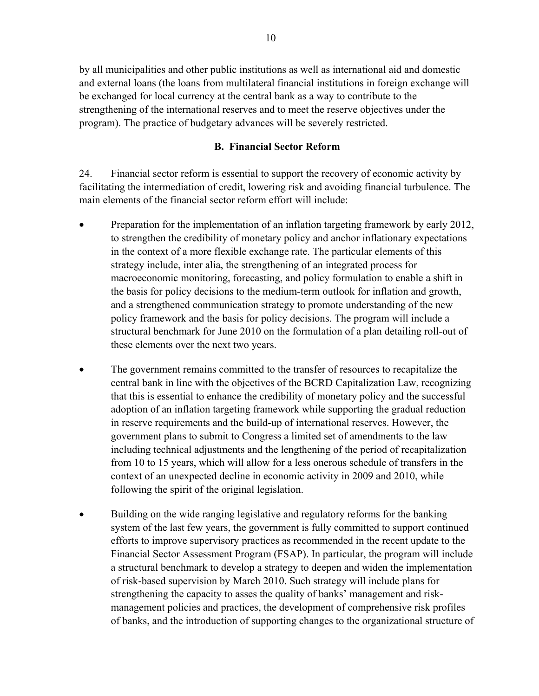by all municipalities and other public institutions as well as international aid and domestic and external loans (the loans from multilateral financial institutions in foreign exchange will be exchanged for local currency at the central bank as a way to contribute to the strengthening of the international reserves and to meet the reserve objectives under the program). The practice of budgetary advances will be severely restricted.

#### **B. Financial Sector Reform**

24. Financial sector reform is essential to support the recovery of economic activity by facilitating the intermediation of credit, lowering risk and avoiding financial turbulence. The main elements of the financial sector reform effort will include:

- Preparation for the implementation of an inflation targeting framework by early 2012, to strengthen the credibility of monetary policy and anchor inflationary expectations in the context of a more flexible exchange rate. The particular elements of this strategy include, inter alia, the strengthening of an integrated process for macroeconomic monitoring, forecasting, and policy formulation to enable a shift in the basis for policy decisions to the medium-term outlook for inflation and growth, and a strengthened communication strategy to promote understanding of the new policy framework and the basis for policy decisions. The program will include a structural benchmark for June 2010 on the formulation of a plan detailing roll-out of these elements over the next two years.
- The government remains committed to the transfer of resources to recapitalize the central bank in line with the objectives of the BCRD Capitalization Law, recognizing that this is essential to enhance the credibility of monetary policy and the successful adoption of an inflation targeting framework while supporting the gradual reduction in reserve requirements and the build-up of international reserves. However, the government plans to submit to Congress a limited set of amendments to the law including technical adjustments and the lengthening of the period of recapitalization from 10 to 15 years, which will allow for a less onerous schedule of transfers in the context of an unexpected decline in economic activity in 2009 and 2010, while following the spirit of the original legislation.
- Building on the wide ranging legislative and regulatory reforms for the banking system of the last few years, the government is fully committed to support continued efforts to improve supervisory practices as recommended in the recent update to the Financial Sector Assessment Program (FSAP). In particular, the program will include a structural benchmark to develop a strategy to deepen and widen the implementation of risk-based supervision by March 2010. Such strategy will include plans for strengthening the capacity to asses the quality of banks' management and riskmanagement policies and practices, the development of comprehensive risk profiles of banks, and the introduction of supporting changes to the organizational structure of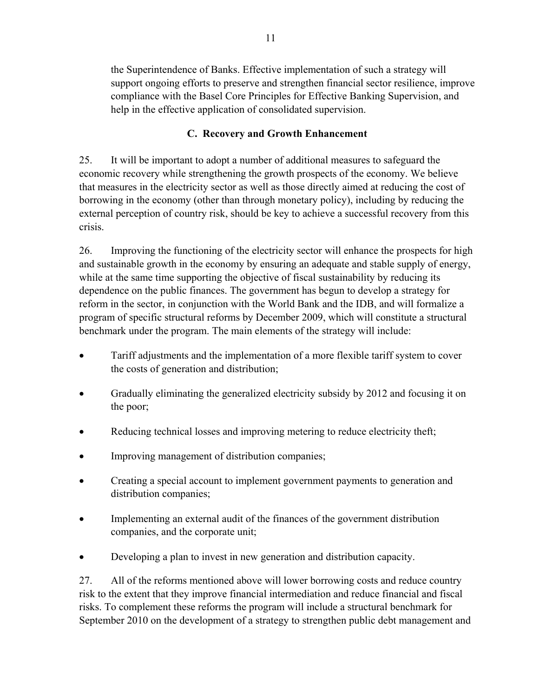the Superintendence of Banks. Effective implementation of such a strategy will support ongoing efforts to preserve and strengthen financial sector resilience, improve compliance with the Basel Core Principles for Effective Banking Supervision, and help in the effective application of consolidated supervision.

# **C. Recovery and Growth Enhancement**

25. It will be important to adopt a number of additional measures to safeguard the economic recovery while strengthening the growth prospects of the economy. We believe that measures in the electricity sector as well as those directly aimed at reducing the cost of borrowing in the economy (other than through monetary policy), including by reducing the external perception of country risk, should be key to achieve a successful recovery from this crisis.

26. Improving the functioning of the electricity sector will enhance the prospects for high and sustainable growth in the economy by ensuring an adequate and stable supply of energy, while at the same time supporting the objective of fiscal sustainability by reducing its dependence on the public finances. The government has begun to develop a strategy for reform in the sector, in conjunction with the World Bank and the IDB, and will formalize a program of specific structural reforms by December 2009, which will constitute a structural benchmark under the program. The main elements of the strategy will include:

- Tariff adjustments and the implementation of a more flexible tariff system to cover the costs of generation and distribution;
- Gradually eliminating the generalized electricity subsidy by 2012 and focusing it on the poor;
- Reducing technical losses and improving metering to reduce electricity theft;
- Improving management of distribution companies;
- Creating a special account to implement government payments to generation and distribution companies;
- Implementing an external audit of the finances of the government distribution companies, and the corporate unit;
- Developing a plan to invest in new generation and distribution capacity.

27. All of the reforms mentioned above will lower borrowing costs and reduce country risk to the extent that they improve financial intermediation and reduce financial and fiscal risks. To complement these reforms the program will include a structural benchmark for September 2010 on the development of a strategy to strengthen public debt management and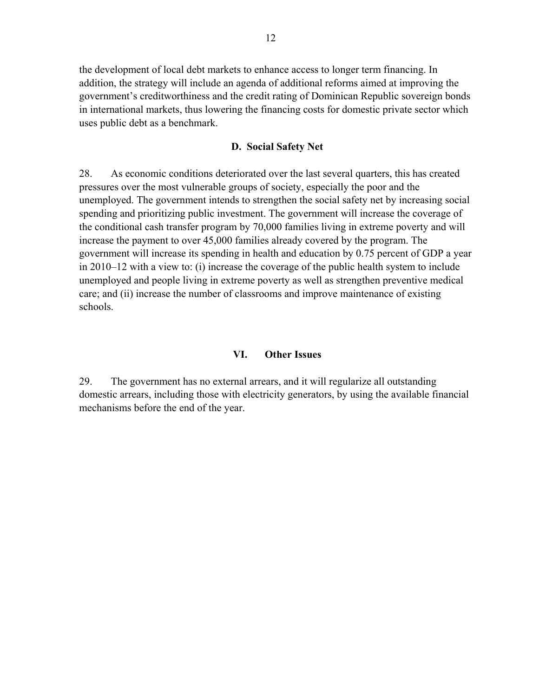the development of local debt markets to enhance access to longer term financing. In addition, the strategy will include an agenda of additional reforms aimed at improving the government's creditworthiness and the credit rating of Dominican Republic sovereign bonds in international markets, thus lowering the financing costs for domestic private sector which uses public debt as a benchmark.

#### **D. Social Safety Net**

28. As economic conditions deteriorated over the last several quarters, this has created pressures over the most vulnerable groups of society, especially the poor and the unemployed. The government intends to strengthen the social safety net by increasing social spending and prioritizing public investment. The government will increase the coverage of the conditional cash transfer program by 70,000 families living in extreme poverty and will increase the payment to over 45,000 families already covered by the program. The government will increase its spending in health and education by 0.75 percent of GDP a year in 2010–12 with a view to: (i) increase the coverage of the public health system to include unemployed and people living in extreme poverty as well as strengthen preventive medical care; and (ii) increase the number of classrooms and improve maintenance of existing schools.

#### **VI. Other Issues**

29. The government has no external arrears, and it will regularize all outstanding domestic arrears, including those with electricity generators, by using the available financial mechanisms before the end of the year.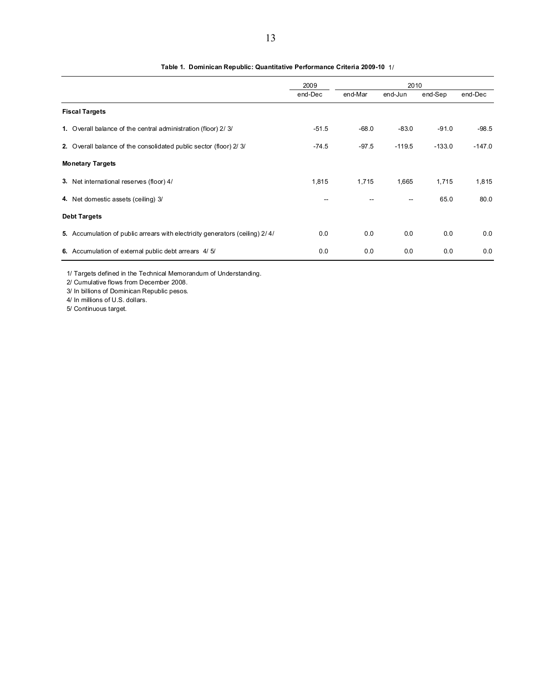|                                                                              | 2009<br>2010 |         |          |          |          |
|------------------------------------------------------------------------------|--------------|---------|----------|----------|----------|
|                                                                              | end-Dec      | end-Mar | end-Jun  | end-Sep  | end-Dec  |
| <b>Fiscal Targets</b>                                                        |              |         |          |          |          |
| 1. Overall balance of the central administration (floor) 2/3/                | $-51.5$      | $-68.0$ | $-83.0$  | $-91.0$  | $-98.5$  |
| 2. Overall balance of the consolidated public sector (floor) 2/3/            | $-74.5$      | $-97.5$ | $-119.5$ | $-133.0$ | $-147.0$ |
| <b>Monetary Targets</b>                                                      |              |         |          |          |          |
| 3. Net international reserves (floor) 4/                                     | 1,815        | 1,715   | 1,665    | 1,715    | 1,815    |
| 4. Net domestic assets (ceiling) 3/                                          |              |         |          | 65.0     | 80.0     |
| <b>Debt Targets</b>                                                          |              |         |          |          |          |
| 5. Accumulation of public arrears with electricity generators (ceiling) 2/4/ | 0.0          | 0.0     | 0.0      | 0.0      | 0.0      |
| 6. Accumulation of external public debt arrears 4/5/                         | 0.0          | 0.0     | 0.0      | 0.0      | 0.0      |

#### **Table 1. Dominican Republic: Quantitative Performance Criteria 2009-10** 1/

1/ Targets defined in the Technical Memorandum of Understanding.

2/ Cumulative flows from December 2008.

3/ In billions of Dominican Republic pesos.

4/ In millions of U.S. dollars.

5/ Continuous target.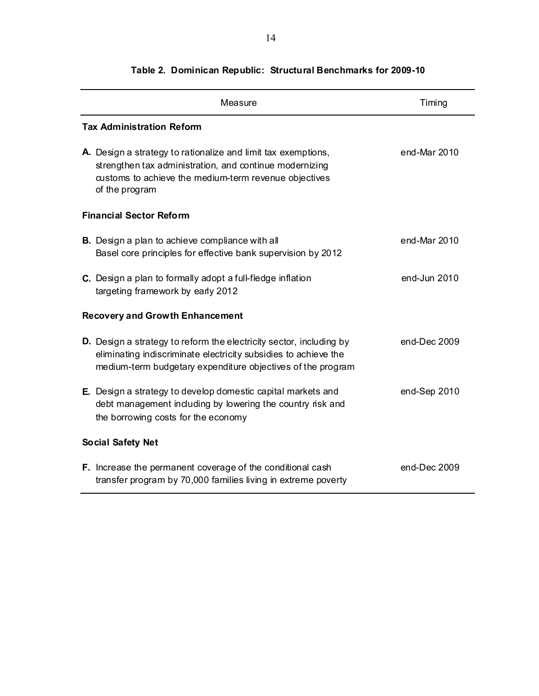| Measure                                                                                                                                                                                                      | Timing       |  |  |  |
|--------------------------------------------------------------------------------------------------------------------------------------------------------------------------------------------------------------|--------------|--|--|--|
| <b>Tax Administration Reform</b>                                                                                                                                                                             |              |  |  |  |
| A. Design a strategy to rationalize and limit tax exemptions,<br>strengthen tax administration, and continue modernizing<br>customs to achieve the medium-term revenue objectives<br>of the program          | end-Mar 2010 |  |  |  |
| <b>Financial Sector Reform</b>                                                                                                                                                                               |              |  |  |  |
| <b>B.</b> Design a plan to achieve compliance with all<br>Basel core principles for effective bank supervision by 2012                                                                                       | end-Mar 2010 |  |  |  |
| C. Design a plan to formally adopt a full-fledge inflation<br>targeting framework by early 2012                                                                                                              | end-Jun 2010 |  |  |  |
| <b>Recovery and Growth Enhancement</b>                                                                                                                                                                       |              |  |  |  |
| <b>D.</b> Design a strategy to reform the electricity sector, including by<br>eliminating indiscriminate electricity subsidies to achieve the<br>medium-term budgetary expenditure objectives of the program | end-Dec 2009 |  |  |  |
| E. Design a strategy to develop domestic capital markets and<br>debt management including by lowering the country risk and<br>the borrowing costs for the economy                                            | end-Sep 2010 |  |  |  |
| <b>Social Safety Net</b>                                                                                                                                                                                     |              |  |  |  |
| F. Increase the permanent coverage of the conditional cash<br>transfer program by 70,000 families living in extreme poverty                                                                                  | end-Dec 2009 |  |  |  |

# **Table 2. Dominican Republic: Structural Benchmarks for 2009-10**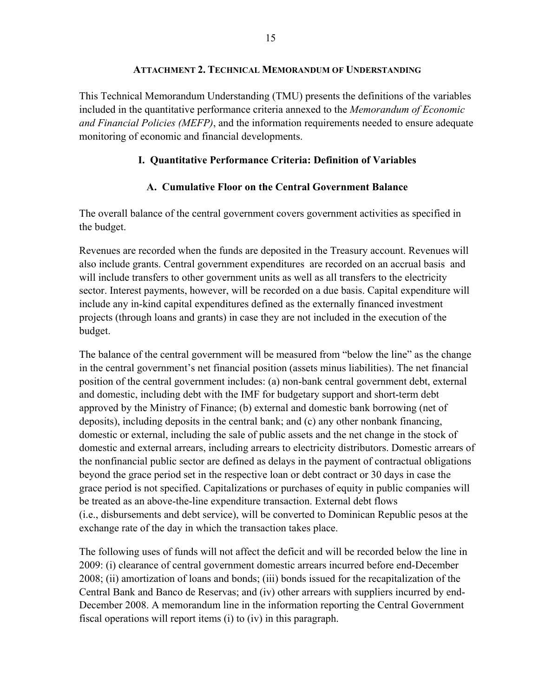#### **ATTACHMENT 2. TECHNICAL MEMORANDUM OF UNDERSTANDING**

This Technical Memorandum Understanding (TMU) presents the definitions of the variables included in the quantitative performance criteria annexed to the *Memorandum of Economic and Financial Policies (MEFP)*, and the information requirements needed to ensure adequate monitoring of economic and financial developments.

# **I. Quantitative Performance Criteria: Definition of Variables**

# **A. Cumulative Floor on the Central Government Balance**

The overall balance of the central government covers government activities as specified in the budget.

Revenues are recorded when the funds are deposited in the Treasury account. Revenues will also include grants. Central government expenditures are recorded on an accrual basis and will include transfers to other government units as well as all transfers to the electricity sector. Interest payments, however, will be recorded on a due basis. Capital expenditure will include any in-kind capital expenditures defined as the externally financed investment projects (through loans and grants) in case they are not included in the execution of the budget.

The balance of the central government will be measured from "below the line" as the change in the central government's net financial position (assets minus liabilities). The net financial position of the central government includes: (a) non-bank central government debt, external and domestic, including debt with the IMF for budgetary support and short-term debt approved by the Ministry of Finance; (b) external and domestic bank borrowing (net of deposits), including deposits in the central bank; and (c) any other nonbank financing, domestic or external, including the sale of public assets and the net change in the stock of domestic and external arrears, including arrears to electricity distributors. Domestic arrears of the nonfinancial public sector are defined as delays in the payment of contractual obligations beyond the grace period set in the respective loan or debt contract or 30 days in case the grace period is not specified. Capitalizations or purchases of equity in public companies will be treated as an above-the-line expenditure transaction. External debt flows (i.e., disbursements and debt service), will be converted to Dominican Republic pesos at the exchange rate of the day in which the transaction takes place.

The following uses of funds will not affect the deficit and will be recorded below the line in 2009: (i) clearance of central government domestic arrears incurred before end-December 2008; (ii) amortization of loans and bonds; (iii) bonds issued for the recapitalization of the Central Bank and Banco de Reservas; and (iv) other arrears with suppliers incurred by end-December 2008. A memorandum line in the information reporting the Central Government fiscal operations will report items (i) to (iv) in this paragraph.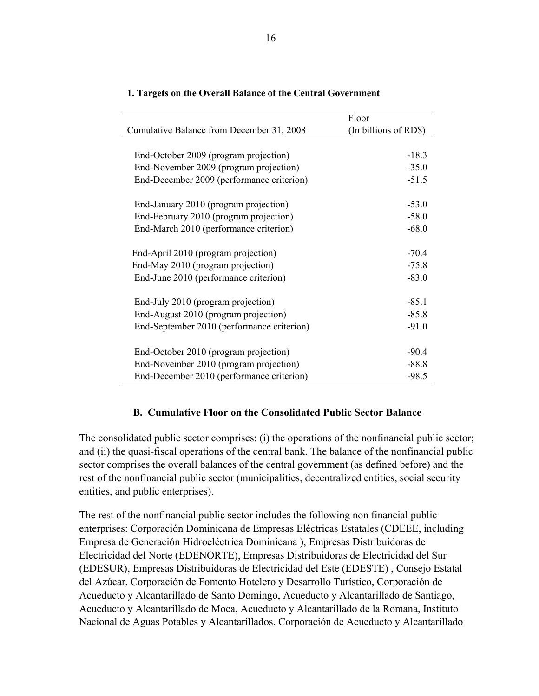|                                            | Floor                 |
|--------------------------------------------|-----------------------|
| Cumulative Balance from December 31, 2008  | (In billions of RD\$) |
|                                            |                       |
| End-October 2009 (program projection)      | $-18.3$               |
| End-November 2009 (program projection)     | $-35.0$               |
| End-December 2009 (performance criterion)  | $-51.5$               |
|                                            |                       |
| End-January 2010 (program projection)      | $-53.0$               |
| End-February 2010 (program projection)     | $-58.0$               |
| End-March 2010 (performance criterion)     | $-68.0$               |
| End-April 2010 (program projection)        | $-70.4$               |
|                                            |                       |
| End-May 2010 (program projection)          | $-75.8$               |
| End-June 2010 (performance criterion)      | $-83.0$               |
| End-July 2010 (program projection)         | $-85.1$               |
| End-August 2010 (program projection)       | $-85.8$               |
| End-September 2010 (performance criterion) | $-91.0$               |
|                                            |                       |
| End-October 2010 (program projection)      | $-90.4$               |
| End-November 2010 (program projection)     | $-88.8$               |
| End-December 2010 (performance criterion)  | $-98.5$               |

#### **1. Targets on the Overall Balance of the Central Government**

#### **B. Cumulative Floor on the Consolidated Public Sector Balance**

The consolidated public sector comprises: (i) the operations of the nonfinancial public sector; and (ii) the quasi-fiscal operations of the central bank. The balance of the nonfinancial public sector comprises the overall balances of the central government (as defined before) and the rest of the nonfinancial public sector (municipalities, decentralized entities, social security entities, and public enterprises).

The rest of the nonfinancial public sector includes the following non financial public enterprises: Corporación Dominicana de Empresas Eléctricas Estatales (CDEEE, including Empresa de Generación Hidroeléctrica Dominicana ), Empresas Distribuidoras de Electricidad del Norte (EDENORTE), Empresas Distribuidoras de Electricidad del Sur (EDESUR), Empresas Distribuidoras de Electricidad del Este (EDESTE) , Consejo Estatal del Azúcar, Corporación de Fomento Hotelero y Desarrollo Turístico, Corporación de Acueducto y Alcantarillado de Santo Domingo, Acueducto y Alcantarillado de Santiago, Acueducto y Alcantarillado de Moca, Acueducto y Alcantarillado de la Romana, Instituto Nacional de Aguas Potables y Alcantarillados, Corporación de Acueducto y Alcantarillado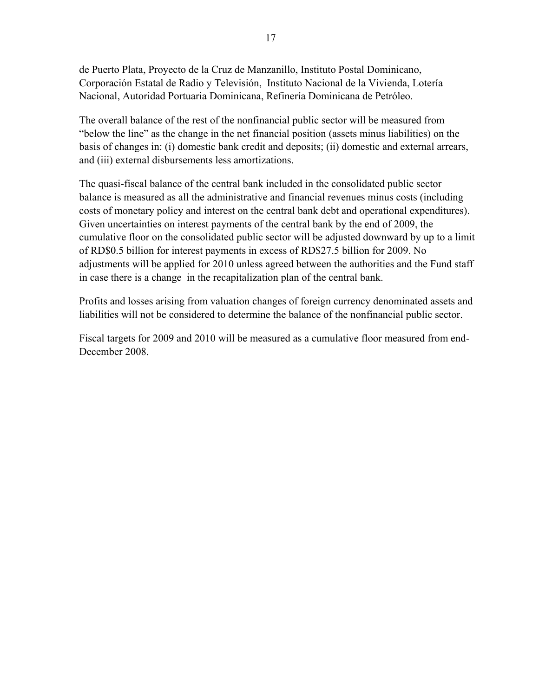de Puerto Plata, Proyecto de la Cruz de Manzanillo, Instituto Postal Dominicano, Corporación Estatal de Radio y Televisión, Instituto Nacional de la Vivienda, Lotería Nacional, Autoridad Portuaria Dominicana, Refinería Dominicana de Petróleo.

The overall balance of the rest of the nonfinancial public sector will be measured from "below the line" as the change in the net financial position (assets minus liabilities) on the basis of changes in: (i) domestic bank credit and deposits; (ii) domestic and external arrears, and (iii) external disbursements less amortizations.

The quasi-fiscal balance of the central bank included in the consolidated public sector balance is measured as all the administrative and financial revenues minus costs (including costs of monetary policy and interest on the central bank debt and operational expenditures). Given uncertainties on interest payments of the central bank by the end of 2009, the cumulative floor on the consolidated public sector will be adjusted downward by up to a limit of RD\$0.5 billion for interest payments in excess of RD\$27.5 billion for 2009. No adjustments will be applied for 2010 unless agreed between the authorities and the Fund staff in case there is a change in the recapitalization plan of the central bank.

Profits and losses arising from valuation changes of foreign currency denominated assets and liabilities will not be considered to determine the balance of the nonfinancial public sector.

Fiscal targets for 2009 and 2010 will be measured as a cumulative floor measured from end-December 2008.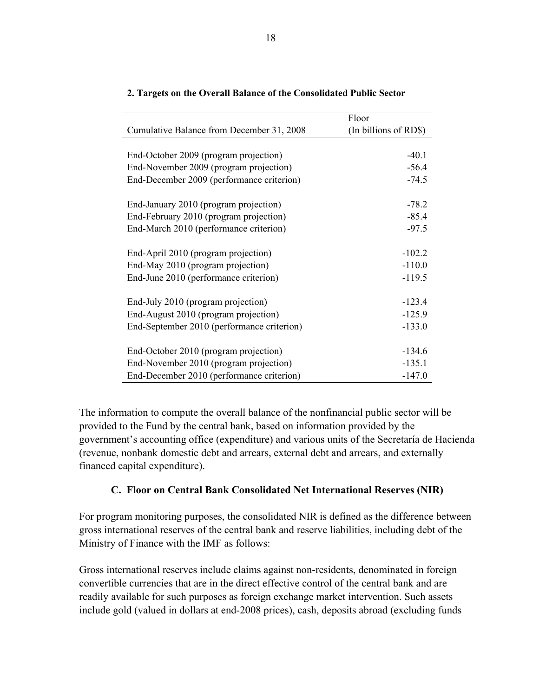|                                            | Floor                 |
|--------------------------------------------|-----------------------|
| Cumulative Balance from December 31, 2008  | (In billions of RD\$) |
|                                            |                       |
| End-October 2009 (program projection)      | $-40.1$               |
| End-November 2009 (program projection)     | $-56.4$               |
| End-December 2009 (performance criterion)  | $-74.5$               |
|                                            |                       |
| End-January 2010 (program projection)      | $-78.2$               |
| End-February 2010 (program projection)     | $-85.4$               |
| End-March 2010 (performance criterion)     | $-97.5$               |
|                                            |                       |
| End-April 2010 (program projection)        | $-102.2$              |
| End-May 2010 (program projection)          | $-110.0$              |
| End-June 2010 (performance criterion)      | $-119.5$              |
|                                            |                       |
| End-July 2010 (program projection)         | $-123.4$              |
| End-August 2010 (program projection)       | $-125.9$              |
| End-September 2010 (performance criterion) | $-133.0$              |
|                                            |                       |
| End-October 2010 (program projection)      | $-134.6$              |
| End-November 2010 (program projection)     | $-135.1$              |
| End-December 2010 (performance criterion)  | $-147.0$              |

#### **2. Targets on the Overall Balance of the Consolidated Public Sector**

The information to compute the overall balance of the nonfinancial public sector will be provided to the Fund by the central bank, based on information provided by the government's accounting office (expenditure) and various units of the Secretaría de Hacienda (revenue, nonbank domestic debt and arrears, external debt and arrears, and externally financed capital expenditure).

# **C. Floor on Central Bank Consolidated Net International Reserves (NIR)**

For program monitoring purposes, the consolidated NIR is defined as the difference between gross international reserves of the central bank and reserve liabilities, including debt of the Ministry of Finance with the IMF as follows:

Gross international reserves include claims against non-residents, denominated in foreign convertible currencies that are in the direct effective control of the central bank and are readily available for such purposes as foreign exchange market intervention. Such assets include gold (valued in dollars at end-2008 prices), cash, deposits abroad (excluding funds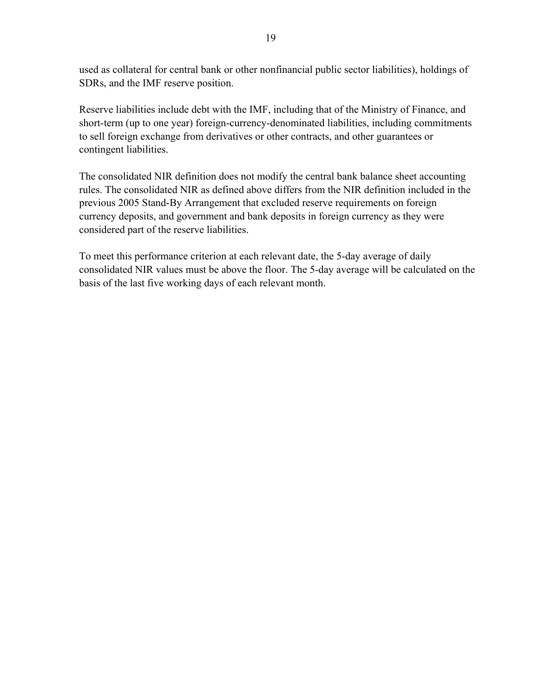used as collateral for central bank or other nonfinancial public sector liabilities), holdings of SDRs, and the IMF reserve position.

Reserve liabilities include debt with the IMF, including that of the Ministry of Finance, and short-term (up to one year) foreign-currency-denominated liabilities, including commitments to sell foreign exchange from derivatives or other contracts, and other guarantees or contingent liabilities.

The consolidated NIR definition does not modify the central bank balance sheet accounting rules. The consolidated NIR as defined above differs from the NIR definition included in the previous 2005 Stand-By Arrangement that excluded reserve requirements on foreign currency deposits, and government and bank deposits in foreign currency as they were considered part of the reserve liabilities.

To meet this performance criterion at each relevant date, the 5-day average of daily consolidated NIR values must be above the floor. The 5-day average will be calculated on the basis of the last five working days of each relevant month.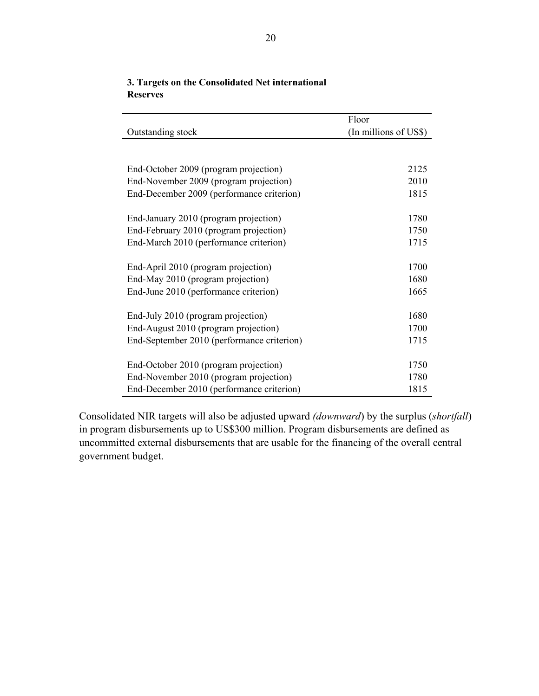|                                                                                                                                                                                                                                                          | Floor                        |
|----------------------------------------------------------------------------------------------------------------------------------------------------------------------------------------------------------------------------------------------------------|------------------------------|
| Outstanding stock                                                                                                                                                                                                                                        | (In millions of US\$)        |
|                                                                                                                                                                                                                                                          |                              |
|                                                                                                                                                                                                                                                          |                              |
| End-October 2009 (program projection)                                                                                                                                                                                                                    | 2125                         |
| End-November 2009 (program projection)                                                                                                                                                                                                                   | 2010                         |
| End-December 2009 (performance criterion)                                                                                                                                                                                                                | 1815                         |
|                                                                                                                                                                                                                                                          |                              |
| End-January 2010 (program projection)                                                                                                                                                                                                                    | 1780                         |
| End-February 2010 (program projection)                                                                                                                                                                                                                   | 1750                         |
| End-March 2010 (performance criterion)                                                                                                                                                                                                                   | 1715                         |
|                                                                                                                                                                                                                                                          |                              |
| End-April 2010 (program projection)                                                                                                                                                                                                                      | 1700                         |
| End-May 2010 (program projection)                                                                                                                                                                                                                        | 1680                         |
| End-June 2010 (performance criterion)                                                                                                                                                                                                                    | 1665                         |
|                                                                                                                                                                                                                                                          |                              |
|                                                                                                                                                                                                                                                          |                              |
|                                                                                                                                                                                                                                                          |                              |
|                                                                                                                                                                                                                                                          |                              |
|                                                                                                                                                                                                                                                          | 1750                         |
|                                                                                                                                                                                                                                                          |                              |
|                                                                                                                                                                                                                                                          | 1815                         |
| End-July 2010 (program projection)<br>End-August 2010 (program projection)<br>End-September 2010 (performance criterion)<br>End-October 2010 (program projection)<br>End-November 2010 (program projection)<br>End-December 2010 (performance criterion) | 1680<br>1700<br>1715<br>1780 |

## **3. Targets on the Consolidated Net international Reserves**

Consolidated NIR targets will also be adjusted upward *(downward*) by the surplus (*shortfall*) in program disbursements up to US\$300 million. Program disbursements are defined as uncommitted external disbursements that are usable for the financing of the overall central government budget.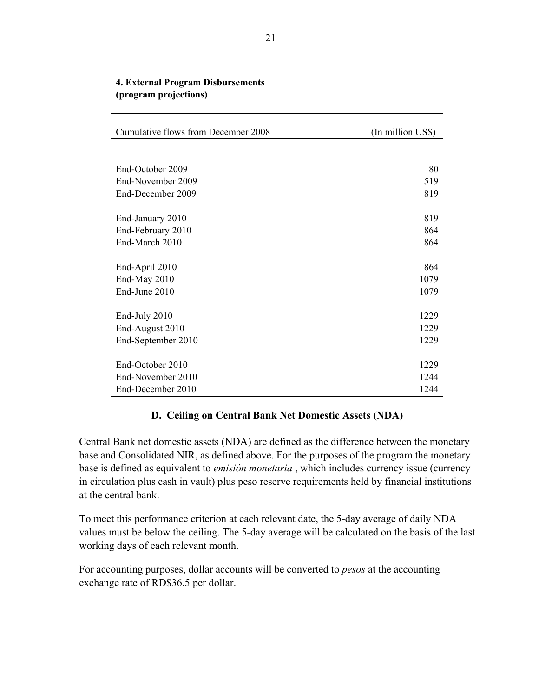| Cumulative flows from December 2008 | (In million US\$) |
|-------------------------------------|-------------------|
|                                     |                   |
| End-October 2009                    | 80                |
| End-November 2009                   | 519               |
| End-December 2009                   | 819               |
| End-January 2010                    | 819               |
| End-February 2010                   | 864               |
| End-March 2010                      | 864               |
|                                     |                   |
| End-April 2010                      | 864               |
| End-May 2010                        | 1079              |
| End-June 2010                       | 1079              |
| End-July 2010                       | 1229              |
| End-August 2010                     | 1229              |
| End-September 2010                  | 1229              |
|                                     |                   |
| End-October 2010                    | 1229              |
| End-November 2010                   | 1244              |
| End-December 2010                   | 1244              |

### **4. External Program Disbursements (program projections)**

#### **D. Ceiling on Central Bank Net Domestic Assets (NDA)**

Central Bank net domestic assets (NDA) are defined as the difference between the monetary base and Consolidated NIR, as defined above. For the purposes of the program the monetary base is defined as equivalent to *emisión monetaria* , which includes currency issue (currency in circulation plus cash in vault) plus peso reserve requirements held by financial institutions at the central bank.

To meet this performance criterion at each relevant date, the 5-day average of daily NDA values must be below the ceiling. The 5-day average will be calculated on the basis of the last working days of each relevant month.

For accounting purposes, dollar accounts will be converted to *pesos* at the accounting exchange rate of RD\$36.5 per dollar.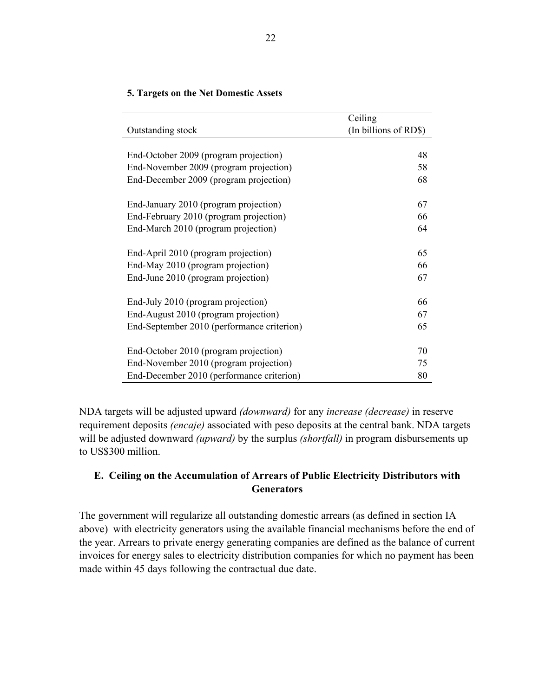|                                            | Ceiling               |
|--------------------------------------------|-----------------------|
| Outstanding stock                          | (In billions of RD\$) |
|                                            |                       |
| End-October 2009 (program projection)      | 48                    |
| End-November 2009 (program projection)     | 58                    |
| End-December 2009 (program projection)     | 68                    |
| End-January 2010 (program projection)      | 67                    |
| End-February 2010 (program projection)     | 66                    |
| End-March 2010 (program projection)        | 64                    |
| End-April 2010 (program projection)        | 65                    |
| End-May 2010 (program projection)          | 66                    |
| End-June 2010 (program projection)         | 67                    |
| End-July 2010 (program projection)         | 66                    |
| End-August 2010 (program projection)       | 67                    |
| End-September 2010 (performance criterion) | 65                    |
| End-October 2010 (program projection)      | 70                    |
| End-November 2010 (program projection)     | 75                    |
| End-December 2010 (performance criterion)  | 80                    |

#### **5. Targets on the Net Domestic Assets**

NDA targets will be adjusted upward *(downward)* for any *increase (decrease)* in reserve requirement deposits *(encaje)* associated with peso deposits at the central bank. NDA targets will be adjusted downward *(upward)* by the surplus *(shortfall)* in program disbursements up to US\$300 million.

# **E. Ceiling on the Accumulation of Arrears of Public Electricity Distributors with Generators**

The government will regularize all outstanding domestic arrears (as defined in section IA above) with electricity generators using the available financial mechanisms before the end of the year. Arrears to private energy generating companies are defined as the balance of current invoices for energy sales to electricity distribution companies for which no payment has been made within 45 days following the contractual due date.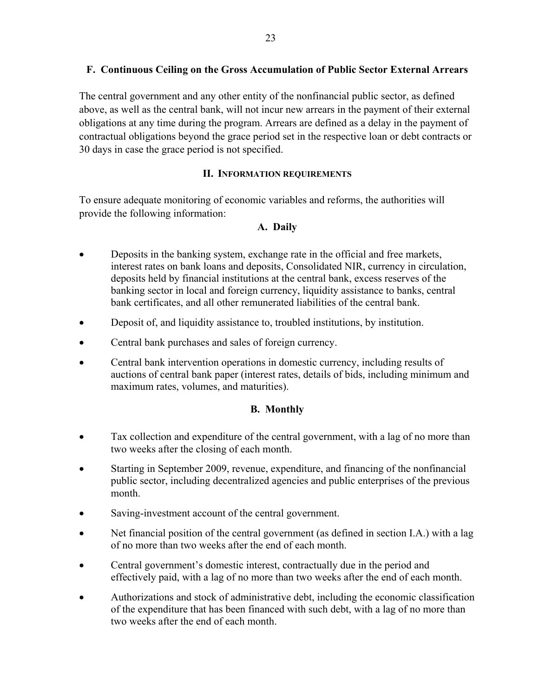# **F. Continuous Ceiling on the Gross Accumulation of Public Sector External Arrears**

The central government and any other entity of the nonfinancial public sector, as defined above, as well as the central bank, will not incur new arrears in the payment of their external obligations at any time during the program. Arrears are defined as a delay in the payment of contractual obligations beyond the grace period set in the respective loan or debt contracts or 30 days in case the grace period is not specified.

# **II. INFORMATION REQUIREMENTS**

To ensure adequate monitoring of economic variables and reforms, the authorities will provide the following information:

# **A. Daily**

- Deposits in the banking system, exchange rate in the official and free markets, interest rates on bank loans and deposits, Consolidated NIR, currency in circulation, deposits held by financial institutions at the central bank, excess reserves of the banking sector in local and foreign currency, liquidity assistance to banks, central bank certificates, and all other remunerated liabilities of the central bank.
- Deposit of, and liquidity assistance to, troubled institutions, by institution.
- Central bank purchases and sales of foreign currency.
- Central bank intervention operations in domestic currency, including results of auctions of central bank paper (interest rates, details of bids, including minimum and maximum rates, volumes, and maturities).

# **B. Monthly**

- Tax collection and expenditure of the central government, with a lag of no more than two weeks after the closing of each month.
- Starting in September 2009, revenue, expenditure, and financing of the nonfinancial public sector, including decentralized agencies and public enterprises of the previous month.
- Saving-investment account of the central government.
- Net financial position of the central government (as defined in section I.A.) with a lag of no more than two weeks after the end of each month.
- Central government's domestic interest, contractually due in the period and effectively paid, with a lag of no more than two weeks after the end of each month.
- Authorizations and stock of administrative debt, including the economic classification of the expenditure that has been financed with such debt, with a lag of no more than two weeks after the end of each month.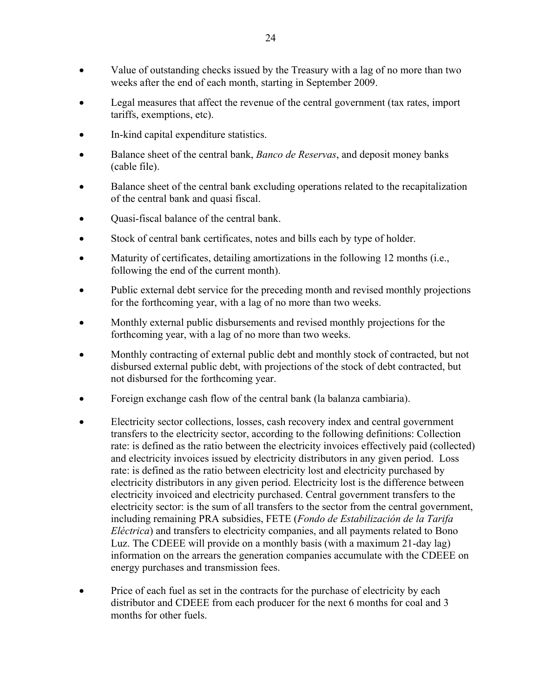- Value of outstanding checks issued by the Treasury with a lag of no more than two weeks after the end of each month, starting in September 2009.
- Legal measures that affect the revenue of the central government (tax rates, import tariffs, exemptions, etc).
- In-kind capital expenditure statistics.
- Balance sheet of the central bank, *Banco de Reservas*, and deposit money banks (cable file).
- Balance sheet of the central bank excluding operations related to the recapitalization of the central bank and quasi fiscal.
- Quasi-fiscal balance of the central bank.
- Stock of central bank certificates, notes and bills each by type of holder.
- Maturity of certificates, detailing amortizations in the following 12 months (i.e., following the end of the current month).
- Public external debt service for the preceding month and revised monthly projections for the forthcoming year, with a lag of no more than two weeks.
- Monthly external public disbursements and revised monthly projections for the forthcoming year, with a lag of no more than two weeks.
- Monthly contracting of external public debt and monthly stock of contracted, but not disbursed external public debt, with projections of the stock of debt contracted, but not disbursed for the forthcoming year.
- Foreign exchange cash flow of the central bank (la balanza cambiaria).
- Electricity sector collections, losses, cash recovery index and central government transfers to the electricity sector, according to the following definitions: Collection rate: is defined as the ratio between the electricity invoices effectively paid (collected) and electricity invoices issued by electricity distributors in any given period. Loss rate: is defined as the ratio between electricity lost and electricity purchased by electricity distributors in any given period. Electricity lost is the difference between electricity invoiced and electricity purchased. Central government transfers to the electricity sector: is the sum of all transfers to the sector from the central government, including remaining PRA subsidies, FETE (*Fondo de Estabilización de la Tarifa Eléctrica*) and transfers to electricity companies, and all payments related to Bono Luz. The CDEEE will provide on a monthly basis (with a maximum 21-day lag) information on the arrears the generation companies accumulate with the CDEEE on energy purchases and transmission fees.
- Price of each fuel as set in the contracts for the purchase of electricity by each distributor and CDEEE from each producer for the next 6 months for coal and 3 months for other fuels.